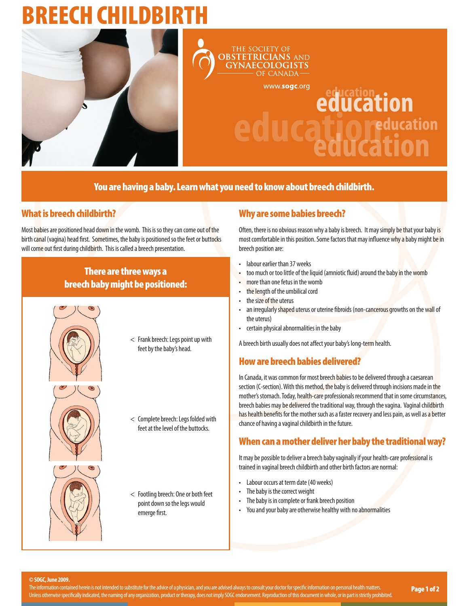## REECH CHILDBIR





www.sogc.org

# education **UCation**<br> **UCation**

You are having a baby. Learn what you need to know about breech childbirth.

### What is breech childbirth?

Most babies are positioned head down in the womb. This is so they can come out of the birth canal (vagina) head first. Sometimes, the baby is positioned so the feet or buttocks will come out first during childbirth. This is called a breech presentation.

#### There are three ways a breech baby might be positioned:



< Frank breech: Legs point up with feet by the baby's head.



- < Complete breech: Legs folded with
- feet at the level of the buttocks.



< Footling breech: One or both feet point down so the legs would emerge first.

#### Why are some babies breech?

Often, there is no obvious reason why a baby is breech. It may simply be that your baby is most comfortable in this position. Some factors that may influence why a baby might be in breech position are:

- labour earlier than 37 weeks
- too much or too little of the liquid (amniotic fluid) around the baby in the womb
- more than one fetus in the womb
- the length of the umbilical cord
- the size of the uterus
- an irregularly shaped uterus or uterine fibroids (non-cancerous growths on the wall of the uterus)
- certain physical abnormalities in the baby

A breech birth usually does not affect your baby's long-term health.

#### How are breech babies delivered?

In Canada, it was common for most breech babies to be delivered through a caesarean section (C-section). With this method, the baby is delivered through incisions made in the mother's stomach. Today, health-care professionals recommend that in some circumstances, breech babies may be delivered the traditional way, through the vagina. Vaginal childbirth has health benefits for the mother such as a faster recovery and less pain, as well as a better chance of having a vaginal childbirth in the future.

#### When can a mother deliver her baby the traditional way?

It may be possible to deliver a breech baby vaginally if your health-care professional is trained in vaginal breech childbirth and other birth factors are normal:

- Labour occurs at term date (40 weeks)
- The baby is the correct weight
- The baby is in complete or frank breech position
- You and your baby are otherwise healthy with no abnormalities

**© SOGC, June 2009.**

The information contained herein is not intended to substitute for the advice of a physician, and you are advised always to consult your doctor for specific information on personal health matters. The information contained herein is not intended to substitute for the advice of a physician, and you are advised always to consult your doctor for specific information on personal health matters. Nage 1 of 2 Page 1 of 2 U